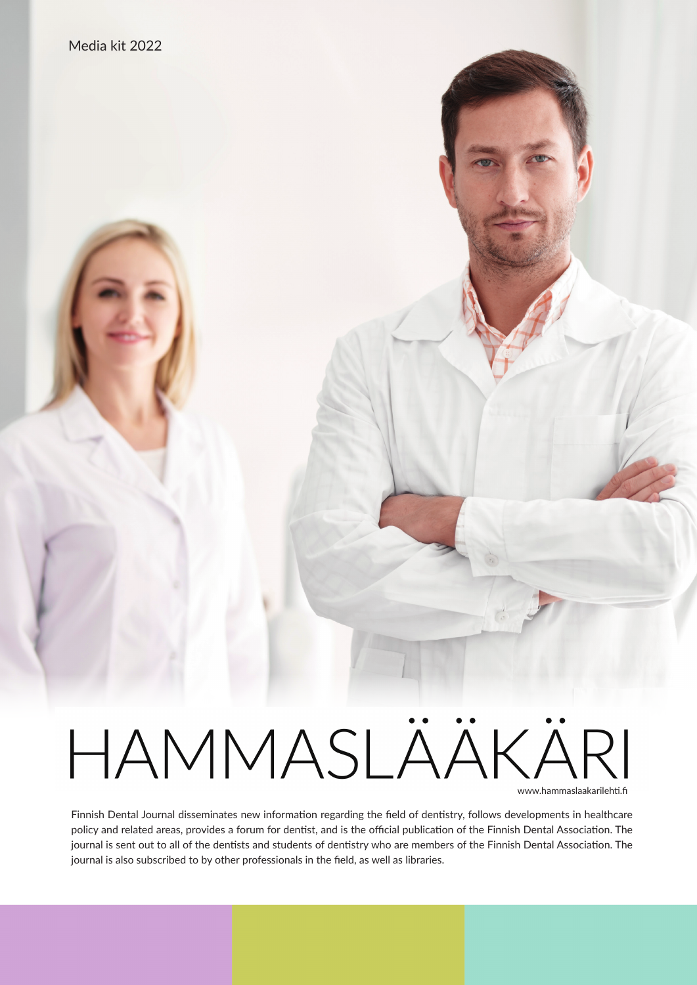# HAMMASLÄÄKÄRI www.hammaslaakarilehti.fi

Finnish Dental Journal disseminates new information regarding the field of dentistry, follows developments in healthcare policy and related areas, provides a forum for dentist, and is the official publication of the Finnish Dental Association. The journal is sent out to all of the dentists and students of dentistry who are members of the Finnish Dental Association. The journal is also subscribed to by other professionals in the field, as well as libraries.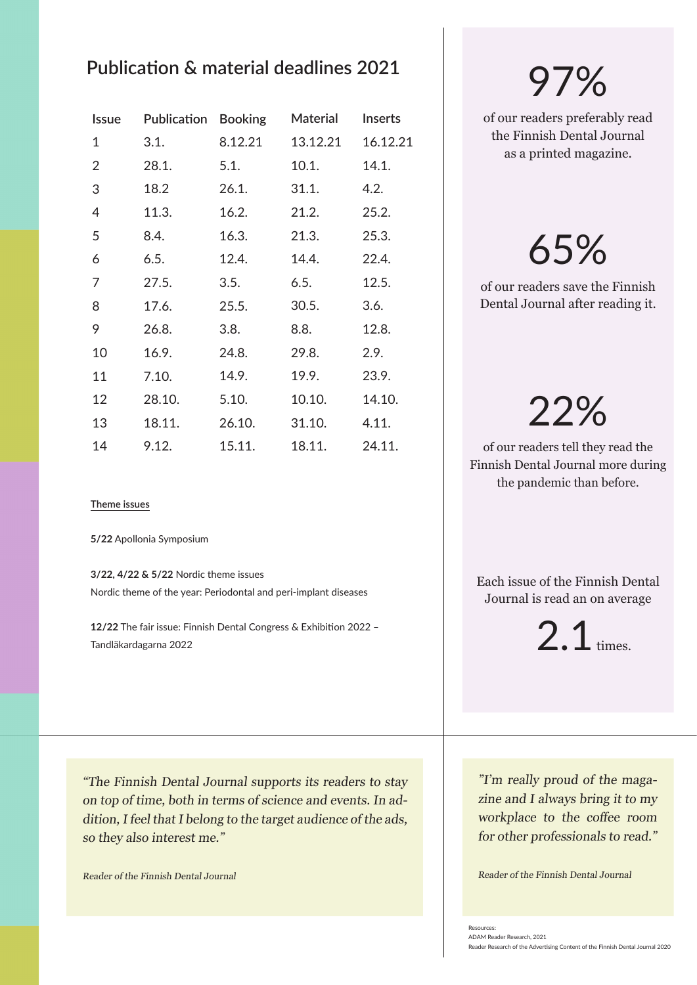### **Publication & material deadlines 2021**

| <b>Issue</b> | Publication | <b>Booking</b> | <b>Material</b> | <b>Inserts</b> |
|--------------|-------------|----------------|-----------------|----------------|
| 1            | 3.1.        | 8.12.21        | 13.12.21        | 16.12.21       |
| 2            | 28.1.       | 5.1.           | 10.1.           | 14.1.          |
| 3            | 18.2        | 26.1.          | 31.1.           | 4.2.           |
| 4            | 11.3.       | 16.2.          | 21.2.           | 25.2.          |
| 5            | 8.4.        | 16.3.          | 21.3.           | 25.3.          |
| 6            | 6.5.        | 12.4.          | 14.4.           | 22.4.          |
| 7            | 27.5.       | 3.5.           | 6.5.            | 12.5.          |
| 8            | 17.6.       | 25.5.          | 30.5.           | 3.6.           |
| 9            | 26.8.       | 3.8.           | 8.8.            | 12.8.          |
| 10           | 16.9.       | 24.8.          | 29.8.           | 2.9.           |
| 11           | 7.10.       | 14.9.          | 19.9.           | 23.9.          |
| 12           | 28.10.      | 5.10.          | 10.10.          | 14.10.         |
| 13           | 18.11.      | 26.10.         | 31.10.          | 4.11.          |
| 14           | 9.12.       | 15.11.         | 18.11.          | 24.11.         |

#### **Theme issues**

**5/22** Apollonia Symposium

**3/22, 4/22 & 5/22** Nordic theme issues Nordic theme of the year: Periodontal and peri-implant diseases

**12/22** The fair issue: Finnish Dental Congress & Exhibition 2022 – Tandläkardagarna 2022

"The Finnish Dental Journal supports its readers to stay on top of time, both in terms of science and events. In addition, I feel that I belong to the target audience of the ads, so they also interest me."

Reader of the Finnish Dental Journal

# 97%

of our readers preferably read the Finnish Dental Journal as a printed magazine.

# 65%

of our readers save the Finnish Dental Journal after reading it.

# 22%

of our readers tell they read the Finnish Dental Journal more during the pandemic than before.

Each issue of the Finnish Dental Journal is read an on average

2.1 times.

"I'm really proud of the magazine and I always bring it to my workplace to the coffee room for other professionals to read."

Reader of the Finnish Dental Journal

Resources: ADAM Reader Research, 2021

Reader Research of the Advertising Content of the Finnish Dental Journal 2020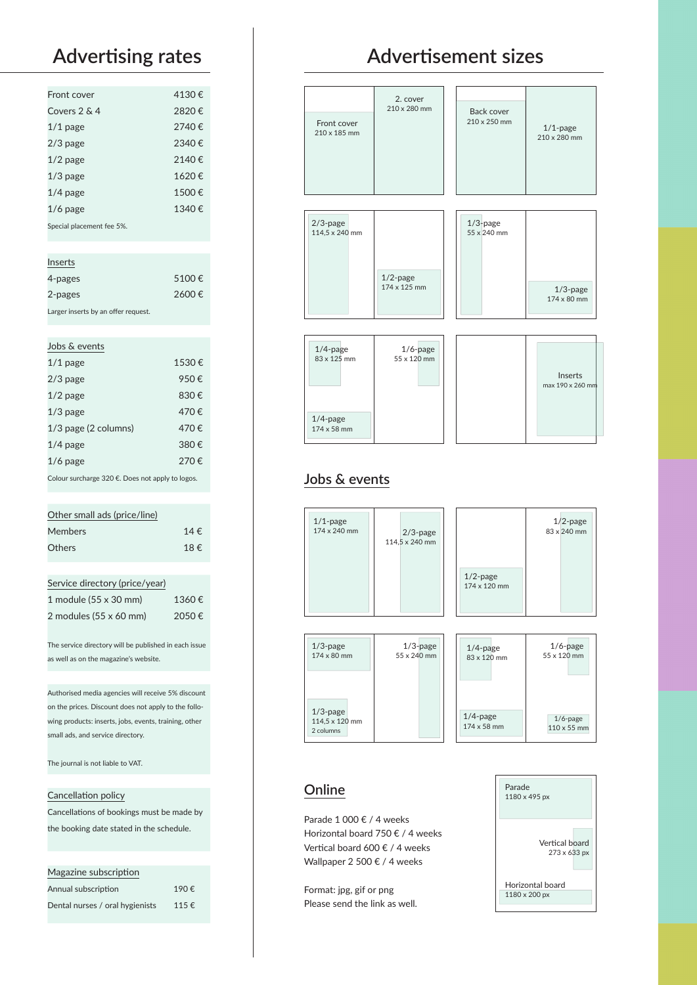| Front cover                         | 4130€ |
|-------------------------------------|-------|
| Covers 2 & 4                        | 2820€ |
| $1/1$ page                          | 2740€ |
| $2/3$ page                          | 2340€ |
| $1/2$ page                          | 2140€ |
| $1/3$ page                          | 1620€ |
| $1/4$ page                          | 1500€ |
| $1/6$ page                          | 1340€ |
| Special placement fee 5%.           |       |
|                                     |       |
| Inserts                             |       |
| 4-pages                             | 5100€ |
| 2-pages                             | 2600€ |
| Larger inserts by an offer request. |       |
|                                     |       |
| Jobs & events                       |       |
| $1/1$ page                          | 1530€ |
| $2/3$ page                          | 950€  |
| $1/2$ page                          | 830€  |

|                                                  | $1/2$ page             | 830€ |  |
|--------------------------------------------------|------------------------|------|--|
|                                                  | $1/3$ page             | 470€ |  |
|                                                  | $1/3$ page (2 columns) | 470€ |  |
|                                                  | $1/4$ page             | 380€ |  |
|                                                  | $1/6$ page             | 270€ |  |
| Colour surcharge 320 €. Does not apply to logos. |                        |      |  |

### Other small ads (price/line) Members 14  $\epsilon$ Others 18 €

| Service directory (price/year)        |       |
|---------------------------------------|-------|
| 1 module (55 x 30 mm)                 | 1360€ |
| 2 modules $(55 \times 60 \text{ mm})$ | 2050€ |

The service directory will be published in each issue as well as on the magazine's website.

Authorised media agencies will receive 5% discount on the prices. Discount does not apply to the following products: inserts, jobs, events, training, other small ads, and service directory.

The journal is not liable to VAT.

#### Cancellation policy

Cancellations of bookings must be made by the booking date stated in the schedule.

#### Magazine subscription

| Annual subscription             | 190€ |
|---------------------------------|------|
| Dental nurses / oral hygienists | 115€ |

## **Advertising rates Advertisement sizes**



### **Jobs & events**

1/4-page 174 x 58 mm



#### **Online**

Parade 1 000 € / 4 weeks Horizontal board 750 € / 4 weeks Vertical board 600 € / 4 weeks Wallpaper 2 500 € / 4 weeks

Format: jpg, gif or png Please send the link as well.